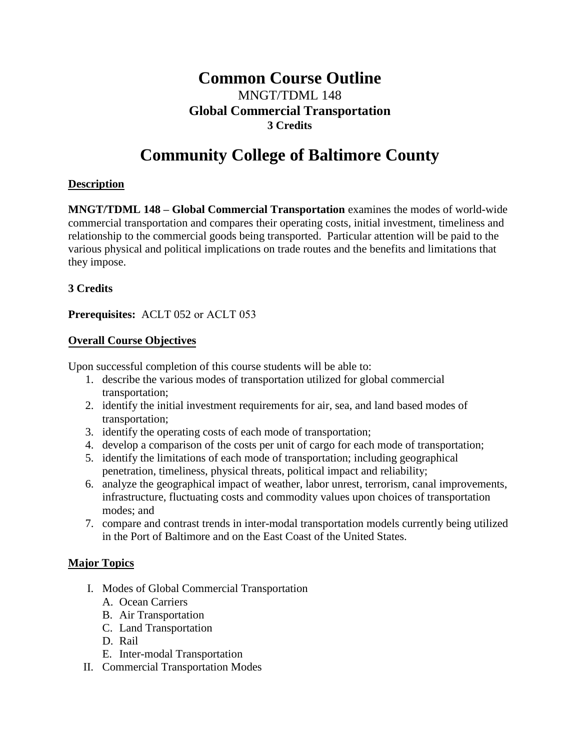# **Common Course Outline**  MNGT/TDML 148 **Global Commercial Transportation 3 Credits**

# **Community College of Baltimore County**

### **Description**

**MNGT/TDML 148 – Global Commercial Transportation** examines the modes of world-wide commercial transportation and compares their operating costs, initial investment, timeliness and relationship to the commercial goods being transported. Particular attention will be paid to the various physical and political implications on trade routes and the benefits and limitations that they impose.

# **3 Credits**

**Prerequisites:** ACLT 052 or ACLT 053

# **Overall Course Objectives**

Upon successful completion of this course students will be able to:

- 1. describe the various modes of transportation utilized for global commercial transportation;
- 2. identify the initial investment requirements for air, sea, and land based modes of transportation;
- 3. identify the operating costs of each mode of transportation;
- 4. develop a comparison of the costs per unit of cargo for each mode of transportation;
- 5. identify the limitations of each mode of transportation; including geographical penetration, timeliness, physical threats, political impact and reliability;
- 6. analyze the geographical impact of weather, labor unrest, terrorism, canal improvements, infrastructure, fluctuating costs and commodity values upon choices of transportation modes; and
- 7. compare and contrast trends in inter-modal transportation models currently being utilized in the Port of Baltimore and on the East Coast of the United States.

### **Major Topics**

- I. Modes of Global Commercial Transportation
	- A. Ocean Carriers
	- B. Air Transportation
	- C. Land Transportation
	- D. Rail
	- E. Inter-modal Transportation
- II. Commercial Transportation Modes